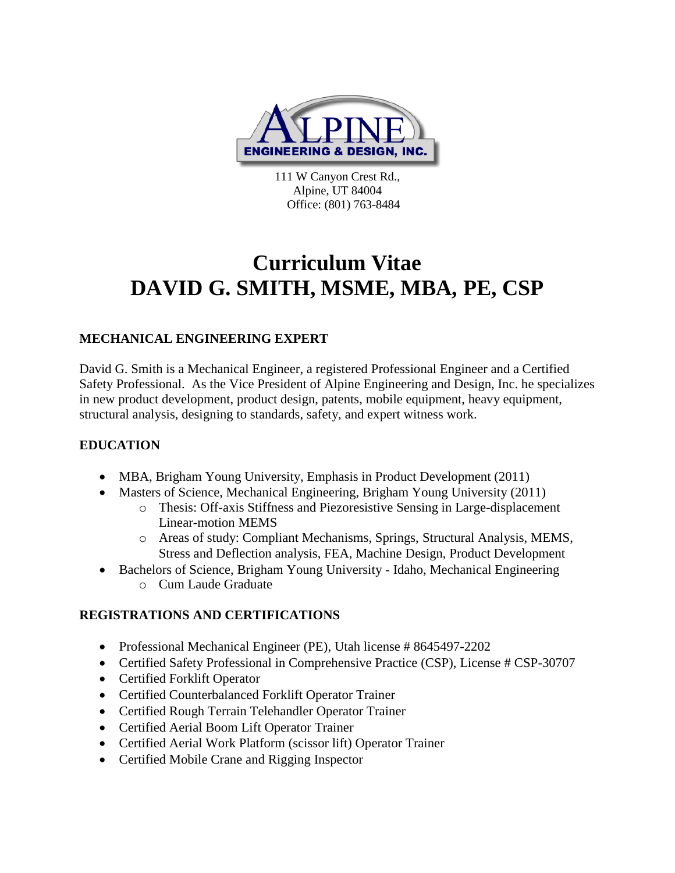

111 W Canyon Crest Rd., Alpine, UT 84004 Office: (801) 763-8484

# **Curriculum Vitae DAVID G. SMITH, MSME, MBA, PE, CSP**

# **MECHANICAL ENGINEERING EXPERT**

David G. Smith is a Mechanical Engineer, a registered Professional Engineer and a Certified Safety Professional. As the Vice President of Alpine Engineering and Design, Inc. he specializes in new product development, product design, patents, mobile equipment, heavy equipment, structural analysis, designing to standards, safety, and expert witness work.

# **EDUCATION**

- MBA, Brigham Young University, Emphasis in Product Development (2011)
- Masters of Science, Mechanical Engineering, Brigham Young University (2011)
	- o Thesis: Off-axis Stiffness and Piezoresistive Sensing in Large-displacement Linear-motion MEMS
	- o Areas of study: Compliant Mechanisms, Springs, Structural Analysis, MEMS, Stress and Deflection analysis, FEA, Machine Design, Product Development
- Bachelors of Science, Brigham Young University Idaho, Mechanical Engineering o Cum Laude Graduate

# **REGISTRATIONS AND CERTIFICATIONS**

- Professional Mechanical Engineer (PE), Utah license # 8645497-2202
- Certified Safety Professional in Comprehensive Practice (CSP), License # CSP-30707
- Certified Forklift Operator
- Certified Counterbalanced Forklift Operator Trainer
- Certified Rough Terrain Telehandler Operator Trainer
- Certified Aerial Boom Lift Operator Trainer
- Certified Aerial Work Platform (scissor lift) Operator Trainer
- Certified Mobile Crane and Rigging Inspector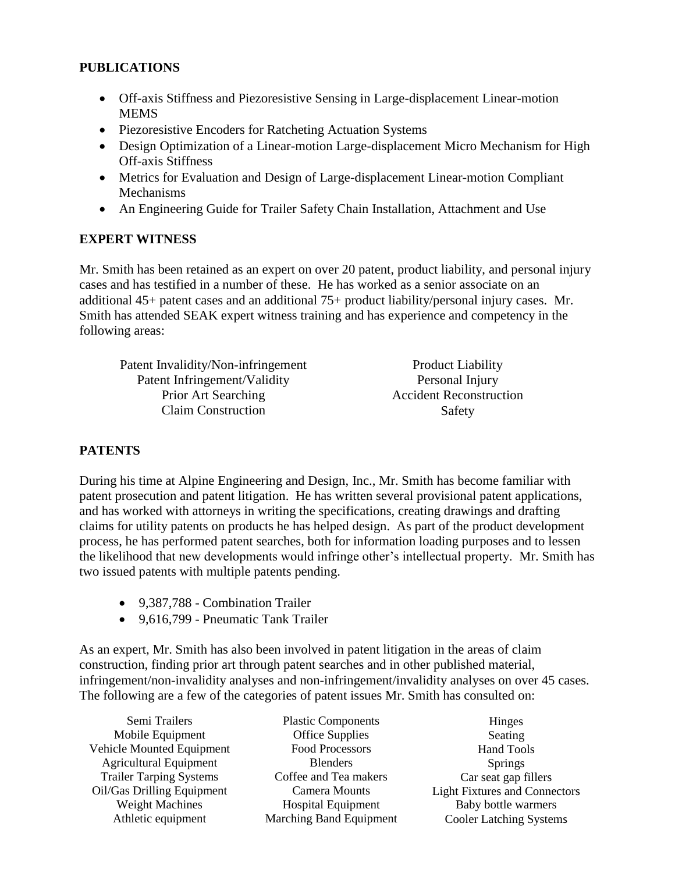#### **PUBLICATIONS**

- Off-axis Stiffness and Piezoresistive Sensing in Large-displacement Linear-motion MEMS
- Piezoresistive Encoders for Ratcheting Actuation Systems
- Design Optimization of a Linear-motion Large-displacement Micro Mechanism for High Off-axis Stiffness
- Metrics for Evaluation and Design of Large-displacement Linear-motion Compliant Mechanisms
- An Engineering Guide for Trailer Safety Chain Installation, Attachment and Use

## **EXPERT WITNESS**

Mr. Smith has been retained as an expert on over 20 patent, product liability, and personal injury cases and has testified in a number of these. He has worked as a senior associate on an additional 45+ patent cases and an additional 75+ product liability/personal injury cases. Mr. Smith has attended SEAK expert witness training and has experience and competency in the following areas:

| Patent Invalidity/Non-infringement | <b>Product Liability</b>       |
|------------------------------------|--------------------------------|
| Patent Infringement/Validity       | Personal Injury                |
| Prior Art Searching                | <b>Accident Reconstruction</b> |
| <b>Claim Construction</b>          | Safety                         |

# **PATENTS**

During his time at Alpine Engineering and Design, Inc., Mr. Smith has become familiar with patent prosecution and patent litigation. He has written several provisional patent applications, and has worked with attorneys in writing the specifications, creating drawings and drafting claims for utility patents on products he has helped design. As part of the product development process, he has performed patent searches, both for information loading purposes and to lessen the likelihood that new developments would infringe other's intellectual property. Mr. Smith has two issued patents with multiple patents pending.

- 9.387.788 Combination Trailer
- 9,616,799 Pneumatic Tank Trailer

As an expert, Mr. Smith has also been involved in patent litigation in the areas of claim construction, finding prior art through patent searches and in other published material, infringement/non-invalidity analyses and non-infringement/invalidity analyses on over 45 cases. The following are a few of the categories of patent issues Mr. Smith has consulted on:

Semi Trailers Mobile Equipment Vehicle Mounted Equipment Agricultural Equipment Trailer Tarping Systems Oil/Gas Drilling Equipment Weight Machines Athletic equipment

Plastic Components Office Supplies Food Processors **Blenders** Coffee and Tea makers Camera Mounts Hospital Equipment Marching Band Equipment

Hinges Seating Hand Tools Springs Car seat gap fillers Light Fixtures and Connectors Baby bottle warmers Cooler Latching Systems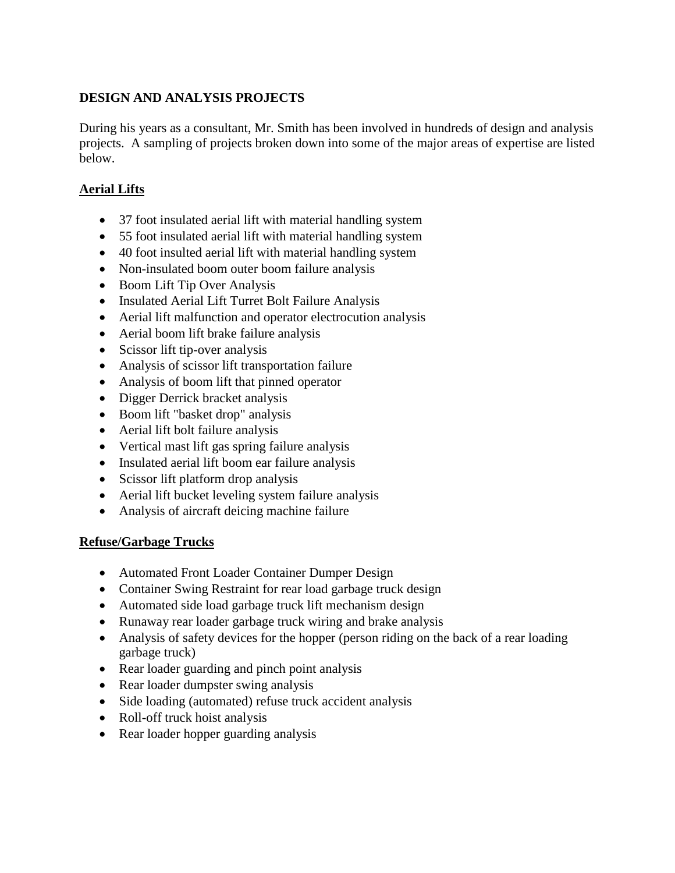## **DESIGN AND ANALYSIS PROJECTS**

During his years as a consultant, Mr. Smith has been involved in hundreds of design and analysis projects. A sampling of projects broken down into some of the major areas of expertise are listed below.

## **Aerial Lifts**

- 37 foot insulated aerial lift with material handling system
- 55 foot insulated aerial lift with material handling system
- 40 foot insulted aerial lift with material handling system
- Non-insulated boom outer boom failure analysis
- Boom Lift Tip Over Analysis
- Insulated Aerial Lift Turret Bolt Failure Analysis
- Aerial lift malfunction and operator electrocution analysis
- Aerial boom lift brake failure analysis
- Scissor lift tip-over analysis
- Analysis of scissor lift transportation failure
- Analysis of boom lift that pinned operator
- Digger Derrick bracket analysis
- Boom lift "basket drop" analysis
- Aerial lift bolt failure analysis
- Vertical mast lift gas spring failure analysis
- Insulated aerial lift boom ear failure analysis
- Scissor lift platform drop analysis
- Aerial lift bucket leveling system failure analysis
- Analysis of aircraft deicing machine failure

#### **Refuse/Garbage Trucks**

- Automated Front Loader Container Dumper Design
- Container Swing Restraint for rear load garbage truck design
- Automated side load garbage truck lift mechanism design
- Runaway rear loader garbage truck wiring and brake analysis
- Analysis of safety devices for the hopper (person riding on the back of a rear loading garbage truck)
- Rear loader guarding and pinch point analysis
- Rear loader dumpster swing analysis
- Side loading (automated) refuse truck accident analysis
- Roll-off truck hoist analysis
- Rear loader hopper guarding analysis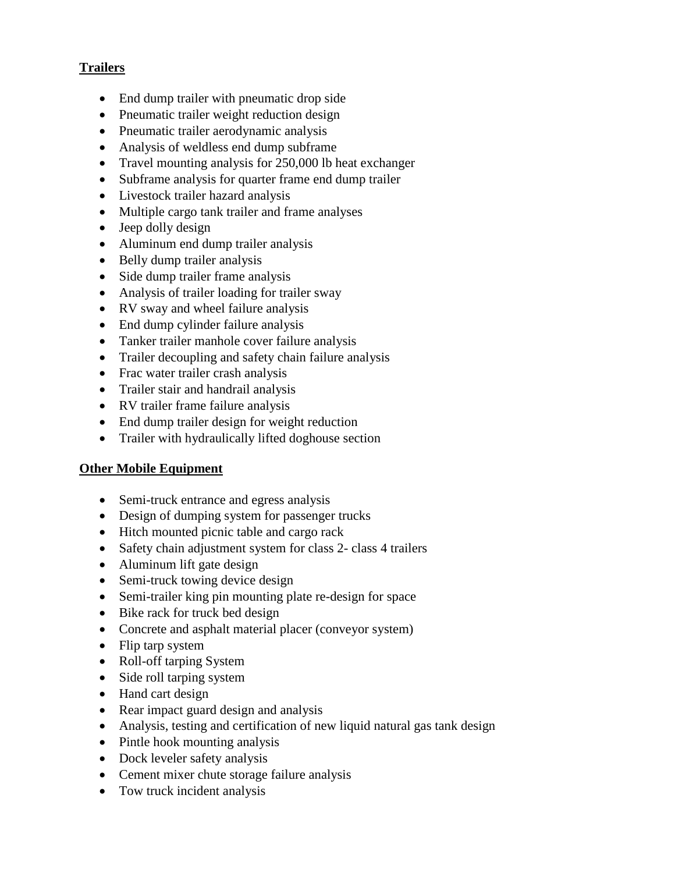## **Trailers**

- End dump trailer with pneumatic drop side
- Pneumatic trailer weight reduction design
- Pneumatic trailer aerodynamic analysis
- Analysis of weldless end dump subframe
- Travel mounting analysis for 250,000 lb heat exchanger
- Subframe analysis for quarter frame end dump trailer
- Livestock trailer hazard analysis
- Multiple cargo tank trailer and frame analyses
- Jeep dolly design
- Aluminum end dump trailer analysis
- Belly dump trailer analysis
- Side dump trailer frame analysis
- Analysis of trailer loading for trailer sway
- RV sway and wheel failure analysis
- End dump cylinder failure analysis
- Tanker trailer manhole cover failure analysis
- Trailer decoupling and safety chain failure analysis
- Frac water trailer crash analysis
- Trailer stair and handrail analysis
- RV trailer frame failure analysis
- End dump trailer design for weight reduction
- Trailer with hydraulically lifted doghouse section

#### **Other Mobile Equipment**

- Semi-truck entrance and egress analysis
- Design of dumping system for passenger trucks
- Hitch mounted picnic table and cargo rack
- Safety chain adjustment system for class 2- class 4 trailers
- Aluminum lift gate design
- Semi-truck towing device design
- Semi-trailer king pin mounting plate re-design for space
- Bike rack for truck bed design
- Concrete and asphalt material placer (conveyor system)
- Flip tarp system
- Roll-off tarping System
- Side roll tarping system
- Hand cart design
- Rear impact guard design and analysis
- Analysis, testing and certification of new liquid natural gas tank design
- Pintle hook mounting analysis
- Dock leveler safety analysis
- Cement mixer chute storage failure analysis
- Tow truck incident analysis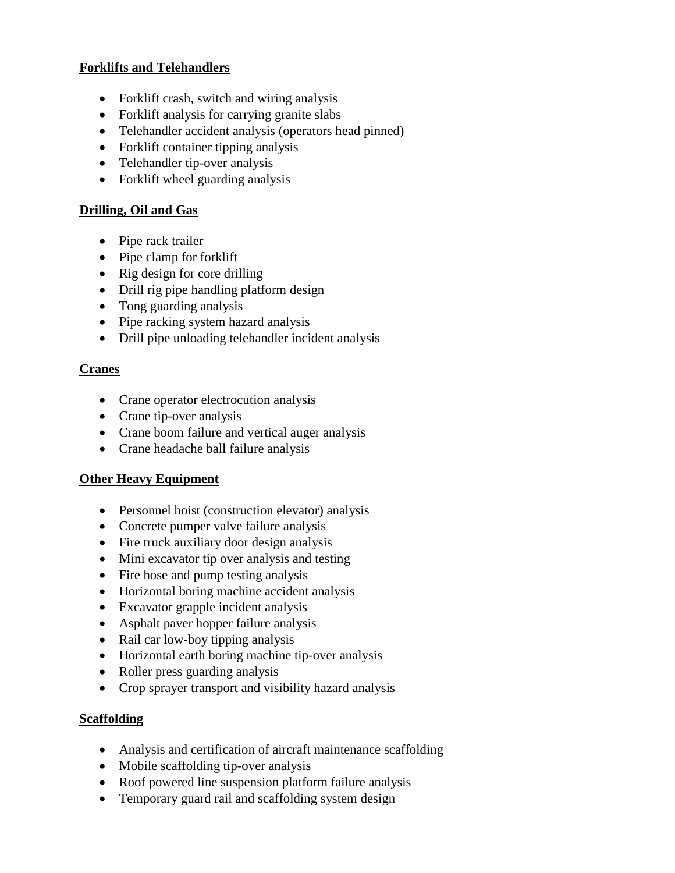#### **Forklifts and Telehandlers**

- Forklift crash, switch and wiring analysis
- Forklift analysis for carrying granite slabs
- Telehandler accident analysis (operators head pinned)
- Forklift container tipping analysis
- Telehandler tip-over analysis
- Forklift wheel guarding analysis

## **Drilling, Oil and Gas**

- Pipe rack trailer
- Pipe clamp for forklift
- Rig design for core drilling
- Drill rig pipe handling platform design
- Tong guarding analysis
- Pipe racking system hazard analysis
- Drill pipe unloading telehandler incident analysis

#### **Cranes**

- Crane operator electrocution analysis
- Crane tip-over analysis
- Crane boom failure and vertical auger analysis
- Crane headache ball failure analysis

#### **Other Heavy Equipment**

- Personnel hoist (construction elevator) analysis
- Concrete pumper valve failure analysis
- Fire truck auxiliary door design analysis
- Mini excavator tip over analysis and testing
- Fire hose and pump testing analysis
- Horizontal boring machine accident analysis
- Excavator grapple incident analysis
- Asphalt paver hopper failure analysis
- Rail car low-boy tipping analysis
- Horizontal earth boring machine tip-over analysis
- Roller press guarding analysis
- Crop sprayer transport and visibility hazard analysis

#### **Scaffolding**

- Analysis and certification of aircraft maintenance scaffolding
- Mobile scaffolding tip-over analysis
- Roof powered line suspension platform failure analysis
- Temporary guard rail and scaffolding system design